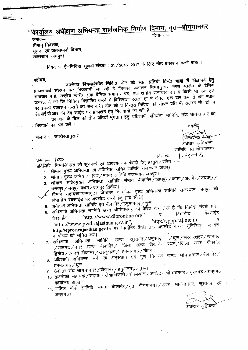कार्यालय अधीक्षण अभियन्ता सार्वजनिक निर्माण विभाग, वृत-श्रीगंगानगर

दिनांक :–

क्रमांक– श्रीमान निदेशक, सूचना एवं जनसम्पर्क विभाग, राजस्थान, जयपुर।

विषय :– **ई–निविदा सूचना संख्या** : 01/2016–2017 के लिए नोट प्रकाशन करने बाबत।

उपरोक्त विषयान्तर्गत निविदा नोट की सात प्रतियाँ हिन्दी भाषा में विज्ञापन हेतु ़महोदय, प्रकाशनार्थ संलग्न कर भिजवायी जा रही है जिनका प्रकाशन निम्नानुस्गर राज्य स्तरीय दो दैनिक समाचार पत्रों, राष्ट्रीय स्तरीय एक दैनिक समाचार पत्र, एक क्षेत्रीय समाचार पत्र व किसी भी एक ट्रेड जनरल में जो कि निविदा विज्ञापित करने में विशिष्ठता रखता हो में केवल एक बार कम से कम स्थान पर इनका प्रकाशन कराने का श्रम करें। नोट की व विस्तृत निविदा की सोफ्ट प्रति भी संलग्न सी. डी. में डी.आई.पी.आर की वेब साईट पर प्रकाशन हेतु भिजवायी जा रही है।

प्रकाशन के बिल की तीन प्रतियाँ भुगतान हेतु अधिशाषी अभियंता, सानिवि, खंड श्रीगंगानगर को

भिजवाने का श्रम करें ।

संलग्न :- उपरोक्तानुसार

आर0एस0 बै**ऱवा**†

अधीक्षण अभियन्ता सानिवि वृत श्रीगंगानगर

दिनांकः – ।  $-M \rightarrow b$ 

 $\pi$ मांक–  $\sigma$ प्रतिलिपिः—निम्नलिखित को सूचनार्थ एवं आवश्यक कार्यवाही हेतु प्रस्तुत ⁄ प्रेषित हैः– 1. श्रीमान मुख्य अभियन्तो एवं अतिरिक्त सचिव सानिवि रॉजस्थॉन जयपुर।

- 
- 2. श्रीमान मुँख्य अनियन्ता (पथ/भवन) सानिवि राजस्थान जयपुर। 3. श्रीमान अति0मुख्य अभियन्ता सानिवि संभाग बीकानेर / जोधपुर / कोटा /अजमेर / उदयपुर /
- भरतपुर/जयपुर प्रथम/जयपुर द्वितीय। 4. श्रीमानं सहायकं कम्पयूटर प्रोग्रामर, कार्यालय मुख्य अभियन्ता सानिवि राजस्थान, जयपुर को विभागीय वेबसाईड पर अपलोड करने हेतु (मय सीडी)।
- 5. अधीक्षण अभियन्ता सानिवि वृत बीकानेर $\check{/}$ हनुमानगढ़ $\check{/}$ चुरू।
- अधिशाषी अभियन्ता सानिवि खण्ड श्रीगंगानगर को प्रेषित कर लेख है कि निविदा संबंधी प्रपत्र  $6.$ वेबसाईट विभागीय "http.//www.dipronline.org" व वेबसाईट ਹ http://sppp.raj.nic.in "http..//www.pwd.rajasthan.gov.in", http://eproc.rajasthan.gov.in पर निर्धारित तिथि तक अपलोड करना सुनिश्चित कर इस कार्यालय को सूचित करें।
- / चूरू / सरदारशहर / रतनगढ अभियन्ता सानिवि खण्ड सूरतगढ ⁄ अनूपगढ़ /राजगढ/नगर खण्ड बीकानेर/ जिला खण्ड बीकानेर प्रथमं/जिला खण्ड बीकानेर 7. अधिशाषी
- द्वितीय / एनएच बीकानेर / खाजूवाला $\,$ / हनुमानगढ़ / नोहर 8. अधिशाषी अभियन्ता सर्वे एवं अनुसंधान एवं गुण नियंत्रण खण्ड श्रीगंगानगर/बीकानेर/

हनुमानगढ़ / चुरु। 9. ठेकेंदार संघ श्रीगंगानगर / बीकानेर / हनुमानगढ़ / चुरू।

- 10. तकनीकी सहायक / सहायक लेखाधिकारी / रोकड़पॉल / ऑडिटर श्रीगंगानगर / सूरतगढ़ / अनूपगढ़
- 11. नोटिस बोर्ड सानिवि संभाग बीकानेर $\diagup$ वृत श्रीगंगानगर $\diagup$ खण्ड श्रीगंगानगर, सूरतगढ एवं अनूपगढ़।

अधीक्षण अभियन्ती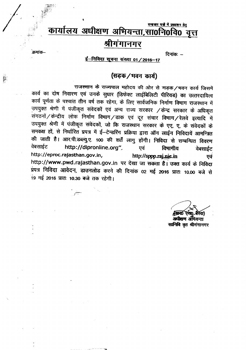# समाचार पत्नों में प्रकाशन हेत् कार्यालय अधीक्षण अभियन्ता,सा0नि0वि0 वृत्त श्रीगगानगर

दिनांकः  $-$ 

### <u>ई-निविदा सूचना</u> संख्या 01 / 2016-17

.<br>क्रमांक–

## (सड़क/मवन कार्य)

राजस्थान के राज्यपाल महोदय की ओर से सड़क/मवन कार्य जिसमें कार्य का दोष निवारण एवं उनके सुधार (डिफेक्ट लाईबिलिटी पीरियड) का उत्तरदायित्व कार्य पूर्णता के पश्चांत तीन वर्ष तक रहेगा, के लिए सार्वजनिक निर्माण विमाग राजस्थान में उपयुक्त श्रेणी में पंजीकृत संवेदकों एवं अन्य राज्य सरकार /केन्द्र सरकार के अधिकृत संगठनों / केन्द्रीय लोक निर्माण विभाग / डाक एवं दूर संचार विभाग / रेलवे इत्यादि में उपयुक्त श्रेणी में पंजीकृत संवेदकों, जो कि राजस्थान सरकार के एए, ए, के संवेदकों के समकक्ष हों, से निर्धारित प्रपत्र में ई-टेन्डरिंग प्रक्रिया द्वारा ऑन लाईन निविदायें आमन्त्रित की जाती है। आर.पी.डब्ल्यु.ए. 100 की शर्तें लागु होंगी। निविदा से सम्बन्धित विवरण वेबसाईट http://dipronline.org". एवं विमागीय वेबसाईट http://eproc.rajasthan.gov.in, http://sppp.raj.nic.in एवं http://www.pwd.rajasthan.gov.in पर देखा जा सकता है। उक्त कार्य के निविदा प्रपत्र निविदा आवेदन, डाउनलोड करने की दिनांक 02 मई 2016 प्रातः 10.00 बजे से 19 मई 2016 प्रातः 10.30 बजे तक रहेगी।

**REFOLUTION** र्रवा) अधीयण अंभियन्ता

सानिवि वृत श्रीगंगानगर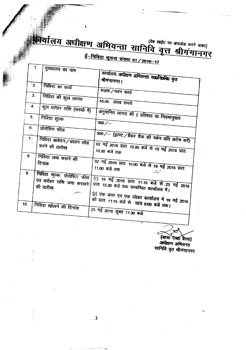# $\mathbf{E}$  and  $\mathbf{E}$  and  $\mathbf{E}$  and  $\mathbf{E}$  and  $\mathbf{E}$  $\frac{3}{4}$   $\frac{3}{4}$   $\frac{1}{4}$   $\frac{1}{4}$   $\frac{1}{4}$   $\frac{1}{4}$   $\frac{1}{4}$   $\frac{1}{4}$   $\frac{1}{4}$   $\frac{1}{4}$   $\frac{1}{4}$   $\frac{1}{4}$   $\frac{1}{4}$   $\frac{1}{4}$   $\frac{1}{4}$   $\frac{1}{4}$   $\frac{1}{4}$   $\frac{1}{4}$   $\frac{1}{4}$   $\frac{1}{4}$   $\frac{1}{4}$   $\frac{1}{4}$

,

 $\overline{1}$ . मुख्यालय का नाम कार्यालय अधीक्षण अभियन्ता सावनिवरीक वृत्त<br>श्रीगंगानगर। श्रीगंगानगर्। निविदा का कार्य  $\overline{2}$ सड़क/मवन कार्य निविदा की कुल लागत 45.00 लाख रुपये<br>कुल धरोहर राशि (रूपयो में) । अनमानित नगर न 3. 4. -<br>अनुमानित लागत की 2 प्रतिशत या नियमानुसार निविदा शुल्क<br>प्रोसेसिंग फौस 5. . I 6. 500/- (ड्राफ्ट/बैंकर चैक की स्केन प्रति अटेच करें) निविदा आवेदन /डाउन लोड 7.' करने की तारीख <sup>02</sup> नई 2016 प्रांत: <sub>10.00</sub> <sup>10.30</sup> बजे तक 2016 JlRJ: निविदा जमा कराने की 8. दिनांक <sup>02</sup> 73 2016 प्रातः <sub>10.00</sub> 11.00 बजे तक **11.00 बजे तक** निविदा शुल्क, प्रोसेसिंग फीस 9.  $(1)$  19 मई 2016 प्रातः 11.15 बजे से 23 मई 2016 *ए*वं घरोहर राशि जमा करवाने ्रातः 10.30 बजे तक सम्बन्धित कार्यालय में।<br>प्रातः 10.30 बजे तक सम्बन्धित कार्यालय में। की तारीख (2) -qq; 3JlR *V<i* -qq; <sup>~</sup> **(f;J4f(>RJ <sup>~</sup> <sup>19</sup> lft** 2016 को प्रातः 11:15 बजे से सांय 6:00 बजे तक। निविदा खोलने की दिनांक 10.  $23$   $75$   $2016$  सुबह 11.30 बजे

(आर0 एस0 बैरवा) अवीक्षण अभियन्ता सानिवि वृत श्रीगंगानगर

3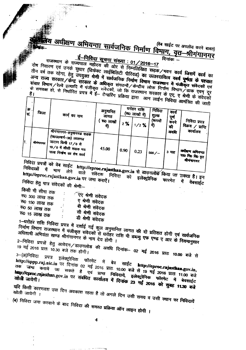अधीक्षण अभियन्ता सार्वजनिक निर्माण विमाग, वृत-श्रीगंगानगर

<u>ई-निविदा सूचना संख्या : 01/2016-17</u> राजस्थान के राज्यपाल महोदय की ओर से निम्नलिखित सड़क/भवन कार्य जिसमें कार्य का दोष निवारण एवं उनके सुधार (डिफेक्ट लाईबिलिटी पीरियड) का उत्तरदायित्व कार्य पूर्णता के पश्चात तीन वर्ष तक रहेगा, हेतु उपयुक्त श्रेणी में सार्वजनिक निर्माण विमाग राजस्थान में पंजीकृत संवेदकों एवं<br>तीन वर्ष तक रहेगा, हेतु उपयुक्त श्रेणी में सार्वजनिक निर्माण विमाग राजस्थान में पंजीकृत संवेदकों एवं अन्य राज्य सरकार किन्द्र सरकार के अधिकृत संगठनों किन्द्रीय लोक निर्माण विभाग हुए प्राप्त पर पर रहे<br>अन्य राज्य सरकार किन्द्र सरकार के अधिकृत संगठनों किन्द्रीय लोक निर्माण विभाग डाक एवम् दूर संचार विमाग/रेल्वे इत्यादि में पंजीकृत संवेदकों, जो कि राजस्थान सरकार के एए. ए श्रेणी के संवेदकों<br>संचार विमाग/रेल्वे इत्यादि में पंजीकृत संवेदकों, जो कि राजस्थान सरकार के एए. ए श्रेणी के संवेदकों समार स्थान र स्टब्स के स्वास्ति प्रपत्र में ई- टेन्डरिंग प्रक्रिया द्वारा आक्रम लाईन निविदा अ

| क्र<br>lस. | जिला        | कार्य का नाम                                                               | अनुमानित<br>लागत<br>. रू० लाखों<br>मे) | 2%   | घरोहर राशि<br>(रू० लाखों में)<br>1/2% | निविदा<br>शुल्क<br><b>(रूपयों</b><br>刊 | কাব<br>पूर्ण<br>करने<br>की | निविदा प्रपत्र<br>, विक्रय / प्राप्ति              |  |
|------------|-------------|----------------------------------------------------------------------------|----------------------------------------|------|---------------------------------------|----------------------------------------|----------------------------|----------------------------------------------------|--|
|            |             | श्रीगंगानगर-हनुमानगढ सडक<br>(रा0उ0मार्ग-36) लालगढ                          |                                        |      |                                       |                                        | अवदि                       | कार्यालय                                           |  |
| L.         | श्रीगंगानगर | , जाटान किमी 17/0 से<br>. 19/0 में सीसी सडक मय<br>ाला निर्माण का शेष कार्य | 45.00                                  | 0.90 | 0.23                                  | $500/-$                                | 3 माह                      | अवीवण अभियन्ता<br>, सा <b>ग्र नि</b> ग्र विग्र वृत |  |
|            |             | निविंदा प्रपन्नों <del>को केन</del> समाप                                   |                                        |      |                                       |                                        |                            | श्रीनंगानगर                                        |  |

को वेब साईट http://eproc.rajasthan.gov.in से डाउनलो<del>ड</del> किया जा सकता है। इन निविदाओं में माग लेने वाले संवेदक निविदा को इलेक्ट्रोनिक फारमेट में http://eproc.rajasthan.gov.in पर जमा कराऐं। निविदा हेतु पात्र संवेदकों की श्रेणी:--वेबसाईट <u>करी के कि</u>

| लिया गा सामा तक          |                |                   |
|--------------------------|----------------|-------------------|
| रू0 300 लाख तक           |                | िएर श्रेणी संवेदक |
|                          |                | ए श्रेणी संवेदक   |
| रू0 150 लाख तक           | $\ddot{\cdot}$ |                   |
| <sup>रू0</sup> 50 लाख तक | ÷              | बी श्रेणी संवेदक  |
| <sup>रू0</sup> 15 लाख तक |                | सी श्रेणी संवेदक  |
|                          | ÷              | डी श्रेणी संतेतक  |
|                          |                |                   |

1-धरोहर राशि निविदा प्रपत्र में दर्शाई गई कुल अनुमानित लागत की दो प्रतिशत होगी एवं सार्वजनिक निर्माण विमाग राजस्थान में पंजीकृत संवेदकों से धरोहर राशि पी डब्ल्यु एफ एण्ड ए आर के नियमानुसार ं स्वरंग अभियंता खण्ड श्रीगंगानगर के नाम देय होगी । 2–निविदा प्रपत्रों हेतु आवेद्न/डाउनलोड की अवधि दिनांक– 02 मई 2016 प्रातः 10.00 बजे से

<sup>3–(अ)निविदा प्रपत्र इलेक्ट्रोनिक फॉरमेट में बेव साईट http://eproc.rajasthan.gov.in,</sup> http://sppp.raj.nic.in पर दिनांक 02 मई 2016 प्रातः 10.00 बजे से 19 मई 2016 प्रातः 11.00 बजे तक जमा कराये जा सकते है एवं प्राप्त निविदायें इत्तेक्ट्रोनिक फॉरमेट में बेवसाईट् http://cproc.rajasthan.gov.in पर संबंधित कार्यालय में दिनांक 23 मई 2016 को सुबह 11.30 बजे खोली जायेगी।

यदि किसी कारणवश उस दिन अवकाश रहता है तो अगले दिन उसी समय व उसी स्थान पर निविदायें (ब) निविदा जमा करवाने के बाद निविदा की समस्त प्रक्रिया ऑन लाइन होगी ।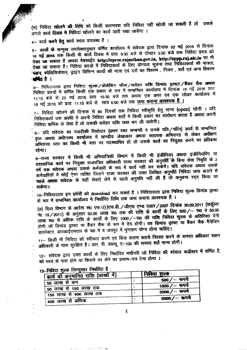.<br>(स) निविदा **खोलने की** तिथि को किसी कारणवश यदि निविदा नहीं खोली जा सकती है तो उन् ~ q;nf ~ -q f.ifcro ~ q;r q;nf \iJR\ XID ~ I ,

# 4- कार्य करने हेतु कार्य स्थल उपलब्ध है ।

5- कार्यों के सम्मुख उपरोक्तानुसार वर्णित कार्यालय में संवेदक द्वारा दिनांक 02 मई 2016 से दिनांक 18 मई 2016 तक किसी भी कॉर्य दिवस में प्रातः 9:30 बजे से दोपहर 3:30 बजे तक निविदा प्रपत्र को देखा जा सकता है अथवा वेबसाईट http://eproc.rajasthan.gov.in, http://sppp.raj.nic.in पर भी देखा जा सकता है। निविदा प्रपत्रों में निविदाकर्ता के लिए योग्यता सूचना तथा निविदाकर्ता की पात्रता, : **प्लान, स्पे**सिफिकेशन, ड्राइंग विभिन्न कार्यो की मात्रा एवं दरों का विवरण , नियम , शर्ते एवं अन्य विवरण ः≇भिंत है ।

5- निविदादाता द्वारा निविदा शुल्क / प्रोसेसिंग फीस / धरोहर <mark>राशि डिमांड ड्राफ्ट / बैंकर चैक अथवा</mark> निविदा प्रपत्रों में वर्णित किसी एक प्रकार के रूप में सम्बन्धित कार्यालय में दिनांक 19 मई 2016 प्रातः 11.15 बजे से 23 मई 2016 प्रातः 10.30 बजे तक अथवा एक अपर एवं एक लोअर कार्यालय में 19 मई 2016 को प्रातः 11:15 बजे से साय 6:00 बजे तक जमा कराना आवश्यक है ।

7– निविदा खोलने की दिनांक से 90 दिवसों तक निविदा स्वीकृति हेतु मान्य (open) रहेगी । यदि निविदाकर्ता उस अवधि में अपनी निविदा अथवा शर्तो में किसी प्रकार का संशोधन करता है अथवा अपनी निविदा वापिस ले लेता है तो उसकी धरोहर राशि जब्त कर ली जावेगी।

ानावदा वाापसे ले लेता है तो उसका बराहर सारा करते हैं.<br>-<br>- a– यदि संवेदक का नजदीकी रिश्तेदार (प्रथम रक्त सम्बन्धी व उनके पति / पत्नि) कार्य से सेन्न क्लीन वृत्त अथवा अधीनस्थ कार्यालय में खण्डीय लेखाकार अथवा सहायक अभियन्ता से लेकर अधीक्षण अभियंन्ता स्तर का किसी भी स्तर पर पदस्थापित हो तो उसके कार्य पर नियुक्त करने पर प्रतिबन्ध रहेगा।

9--राज्य सरकार में किसी भी अभियांत्रिकी विमाग में किसी भी इंजीनियर अथवा इंजीनियरिंग या प्रशासनिक कार्य पर नियुक्त राजपत्रित अधिकारी राज्य सरकार की अनुमति के बिना सेवा निवृति के 2 वर्ष तक संवेदक अथवा उसके कर्मचारी के रूप में कार्य नहीं कर सकेंगें। यदि संवेदक अथवा उसके कर्षचारियों में कोई ऐसा व्यक्ति जिसने राज्य सरकार की उक्त लिखित अनुमति निविदा जमा कराने से पहले अथवा संवेदक के यहाँ सेवाएँ लेने से पहले अनुमति नहीं ली है तो अनुबन्ध रदद किया जा - सकगा।

10--निविदादाता इन प्रपत्रों को download कर सकते है । निविदादाता द्वारा निविदा शुल्क डिमाड ड्रे के रूप में सम्बन्धित कार्यालय में निर्धारित तिथि तक जमा कराना आवश्यक है ।

(अ) वित्त विभाग के आदेश सं0 एफ.1(1)एफ.डी. / जीएफ एण्ड एआर / 2007 दिनांक 30.09.2011 (सर्कुलर  $-$  70 19/2011) के अनुसार 50.00 लाख रू0 तक की राशि के कार्यों के लिए 500/ - रू0 व 50.00 लाख रू0 से अधिक राशि के कार्यों के लिए 1000/-रू0 की राशि निविदा शुल्क के अतिरिक्त देनी होगी जो डिमांड ड्राफ्ट या बैंकर चैक के रूप में देय होगी। यह **डिमांड ड्राफ्ट या बैंकर चैक मै**नेजिंग डायरेक्टर, आरआईएसएल के पक्ष में व जयपुर में भुगतान योग्य होना चाहिए।

11– किसी भी निविदा को स्वीकार करने एवं बिना कारण बताये **निरस्त करने के समस्त अधिकार सक्ष**म अधिकारी के पास सुरक्षित है। आर. पी. डब्ल्यू. ए-100 की समस्त शर्ते मान्य होगी।

12- संवेदक द्वारा उक्त कार्यों के लिए निर्धारित मशीनरी जो निविदा की स्पेशल कंडीशन में वर्णित है, को स्वयं के पास होने या किराये पर लेने का प्रमाण-पत्र देना होगा ।

| निविदा राल्क                       |  |                |  |  |  |
|------------------------------------|--|----------------|--|--|--|
| कार्य की अनुमानित राशि (लाखों में) |  |                |  |  |  |
| ' 50 लाख से कम                     |  | 500 / — रूपये  |  |  |  |
|                                    |  | 1000 /- रूपये  |  |  |  |
| 50 लाख से 150 लाख तक               |  | 2000 / – रूपये |  |  |  |
| 150 लाख से 400 लाख तक              |  |                |  |  |  |
| <b>400 लाख से अधिक</b>             |  | 5000/- रूपये   |  |  |  |
|                                    |  |                |  |  |  |

### जल्क निम्नासार निर्वारित है: